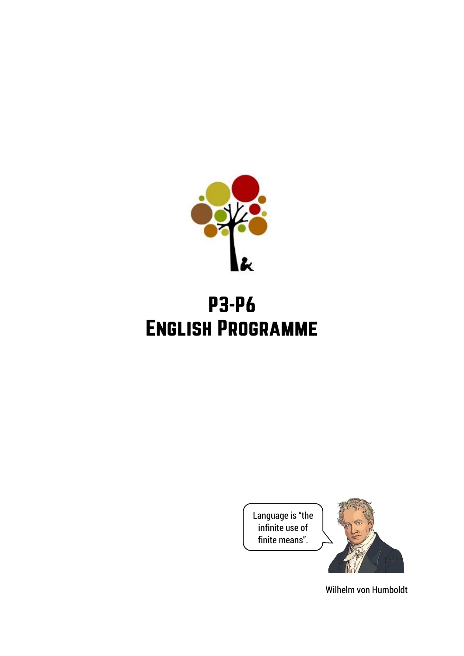

# **P3-P6 ENGLISH PROGRAMME**

Language is "the infinite use of finite means".



Wilhelm von Humboldt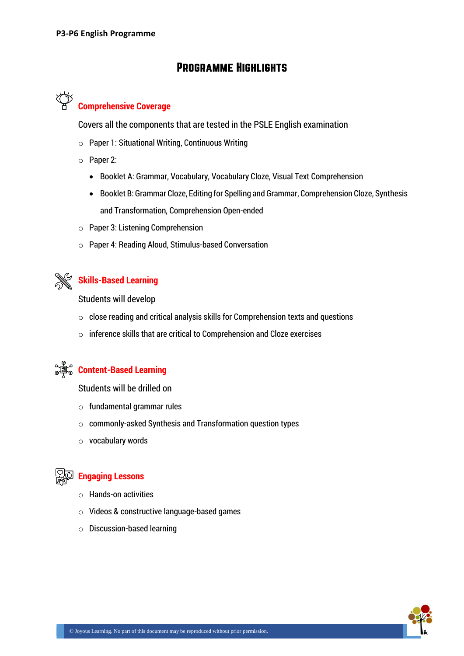# **PROGRAMME HIGHLIGHTS**



## **Comprehensive Coverage**

Covers all the components that are tested in the PSLE English examination

- o Paper 1: Situational Writing, Continuous Writing
- o Paper 2:
	- Booklet A: Grammar, Vocabulary, Vocabulary Cloze, Visual Text Comprehension
	- Booklet B: Grammar Cloze, Editing for Spelling and Grammar, Comprehension Cloze, Synthesis and Transformation, Comprehension Open-ended
- o Paper 3: Listening Comprehension
- o Paper 4: Reading Aloud, Stimulus-based Conversation



## **Skills-Based Learning**

Students will develop

- $\circ$  close reading and critical analysis skills for Comprehension texts and questions
- $\circ$  inference skills that are critical to Comprehension and Cloze exercises



## *S* **Fontent-Based Learning**

Students will be drilled on

- $\circ$  fundamental grammar rules
- o commonly-asked Synthesis and Transformation question types
- o vocabulary words



#### **Engaging Lessons**

- o Hands-on activities
- o Videos & constructive language-based games
- o Discussion-based learning

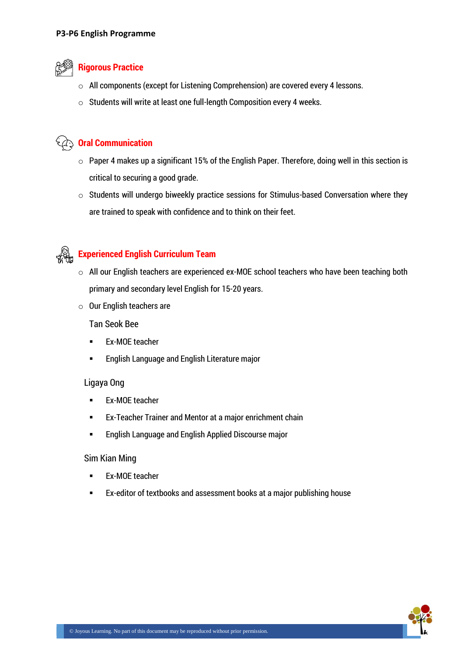

#### **Rigorous Practice**

- o All components (except for Listening Comprehension) are covered every 4 lessons.
- o Students will write at least one full-length Composition every 4 weeks.

## **Oral Communication**

- $\circ$  Paper 4 makes up a significant 15% of the English Paper. Therefore, doing well in this section is critical to securing a good grade.
- $\circ$  Students will undergo biweekly practice sessions for Stimulus-based Conversation where they are trained to speak with confidence and to think on their feet.



## **Experienced English Curriculum Team**

- o All our English teachers are experienced ex-MOE school teachers who have been teaching both primary and secondary level English for 15-20 years.
- o Our English teachers are

Tan Seok Bee

- **Ex-MOE teacher**
- **English Language and English Literature major**

#### Ligaya Ong

- **Ex-MOE teacher**
- **EX-Teacher Trainer and Mentor at a major enrichment chain**
- **English Language and English Applied Discourse major**

#### Sim Kian Ming

- **Ex-MOE teacher**
- Ex-editor of textbooks and assessment books at a major publishing house

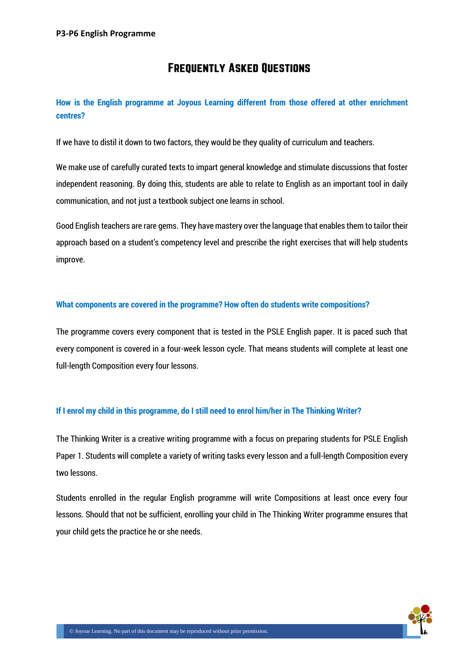# **FREQUENTLY ASKED QUESTIONS**

## **How is the English programme at Joyous Learning different from those offered at other enrichment centres?**

If we have to distil it down to two factors, they would be they quality of curriculum and teachers.

We make use of carefully curated texts to impart general knowledge and stimulate discussions that foster independent reasoning. By doing this, students are able to relate to English as an important tool in daily communication, and not just a textbook subject one learns in school.

Good English teachers are rare gems. They have mastery over the language that enables them to tailor their approach based on a student's competency level and prescribe the right exercises that will help students improve.

#### **What components are covered in the programme? How often do students write compositions?**

The programme covers every component that is tested in the PSLE English paper. It is paced such that every component is covered in a four-week lesson cycle. That means students will complete at least one full-length Composition every four lessons.

#### **If I enrol my child in this programme, do I still need to enrol him/her in The Thinking Writer?**

The Thinking Writer is a creative writing programme with a focus on preparing students for PSLE English Paper 1. Students will complete a variety of writing tasks every lesson and a full-length Composition every two lessons.

Students enrolled in the regular English programme will write Compositions at least once every four lessons. Should that not be sufficient, enrolling your child in The Thinking Writer programme ensures that your child gets the practice he or she needs.